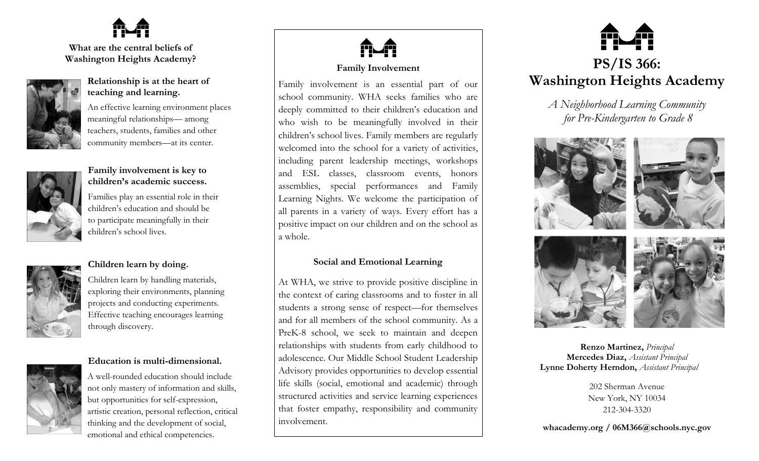

**What are the central beliefs of Washington Heights Academy?**



# **Relationship is at the heart of teaching and learning.**

An effective learning environment places meaningful relationships— among teachers, students, families and other community members—at its center.



# **Family involvement is key to children's academic success.**

Families play an essential role in their children's education and should be to participate meaningfully in their children's school lives.



# **Children learn by doing.**

Children learn by handling materials, exploring their environments, planning projects and conducting experiments. Effective teaching encourages learning through discovery.

**Education is multi-dimensional.**

A well-rounded education should include not only mastery of information and skills, but opportunities for self-expression, artistic creation, personal reflection, critical thinking and the development of social, emotional and ethical competencies.



# **Family Involvement**

Family involvement is an essential part of our school community. WHA seeks families who are deeply committed to their children's education and who wish to be meaningfully involved in their children's school lives. Family members are regularly welcomed into the school for a variety of activities, including parent leadership meetings, workshops and ESL classes, classroom events, honors assemblies, special performances and Family Learning Nights. We welcome the participation of all parents in a variety of ways. Every effort has a positive impact on our children and on the school as a whole.

# **Social and Emotional Learning**

At WHA, we strive to provide positive discipline in the context of caring classrooms and to foster in all students a strong sense of respect—for themselves and for all members of the school community. As a PreK-8 school, we seek to maintain and deepen relationships with students from early childhood to adolescence. Our Middle School Student Leadership Advisory provides opportunities to develop essential life skills (social, emotional and academic) through structured activities and service learning experiences that foster empathy, responsibility and community involvement.



*A Neighborhood Learning Community for Pre-Kindergarten to Grade 8*



**Renzo Martinez,** *Principal* **Mercedes Diaz,** *Assistant Principal* **Lynne Doherty Herndon,** *Assistant Principal*

> 202 Sherman Avenue New York, NY 10034 212-304-3320

**whacademy.org / 06M366@schools.nyc.gov**